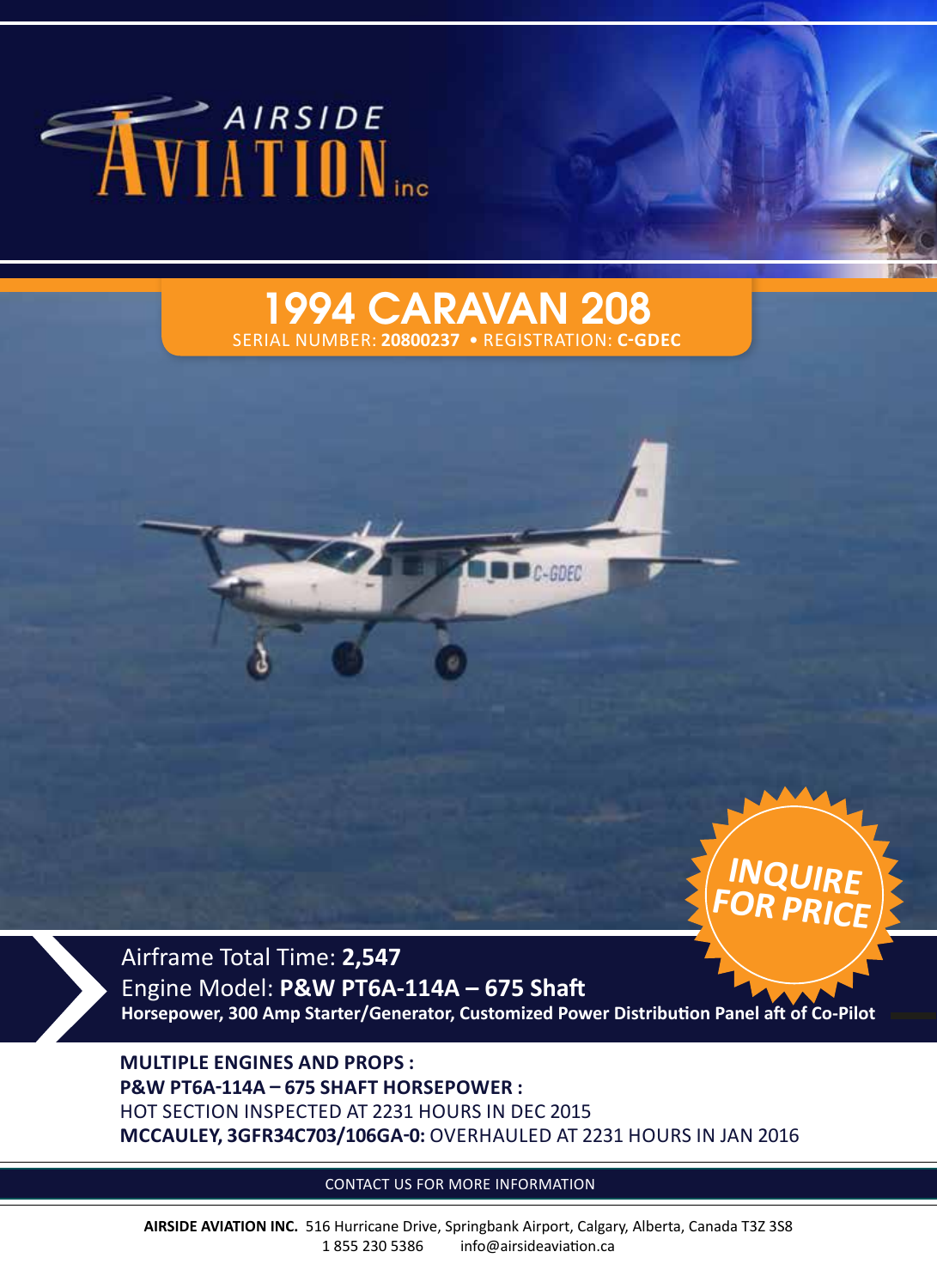

## 1994 CARAVAN 208 SERIAL NUMBER: **20800237** • REGISTRATION: **C-GDEC**





Airframe Total Time: **2,547** Engine Model: **P&W PT6A-114A – 675 Shaft Horsepower, 300 Amp Starter/Generator, Customized Power Distribution Panel aft of Co-Pilot**

C-GDEC

**MULTIPLE ENGINES AND PROPS : P&W PT6A-114A – 675 SHAFT HORSEPOWER :** HOT SECTION INSPECTED AT 2231 HOURS IN DEC 2015 **MCCAULEY, 3GFR34C703/106GA-0:** OVERHAULED AT 2231 HOURS IN JAN 2016

CONTACT US FOR MORE INFORMATION